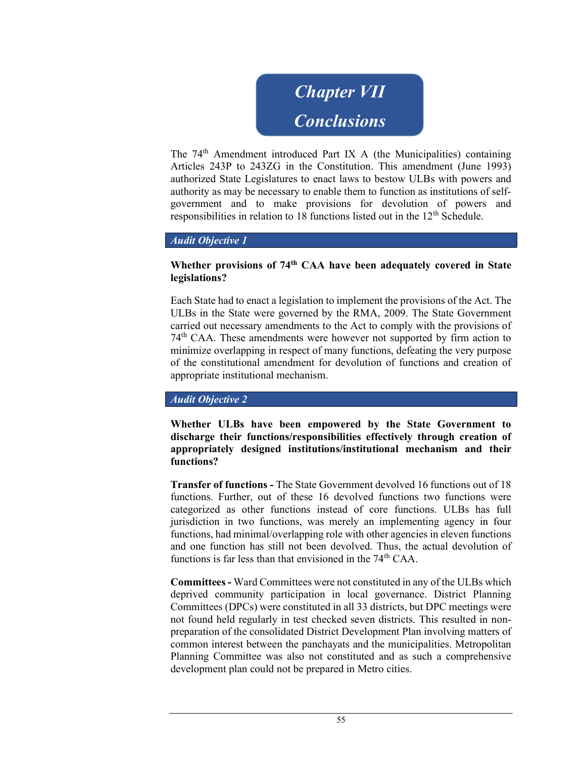

The 74th Amendment introduced Part IX A (the Municipalities) containing Articles 243P to 243ZG in the Constitution. This amendment (June 1993) authorized State Legislatures to enact laws to bestow ULBs with powers and authority as may be necessary to enable them to function as institutions of selfgovernment and to make provisions for devolution of powers and responsibilities in relation to 18 functions listed out in the 12<sup>th</sup> Schedule.

#### Audit Objective 1

### Whether provisions of 74<sup>th</sup> CAA have been adequately covered in State legislations?

Each State had to enact a legislation to implement the provisions of the Act. The ULBs in the State were governed by the RMA, 2009. The State Government carried out necessary amendments to the Act to comply with the provisions of 74th CAA. These amendments were however not supported by firm action to minimize overlapping in respect of many functions, defeating the very purpose of the constitutional amendment for devolution of functions and creation of appropriate institutional mechanism.

#### Audit Objective 2

Whether ULBs have been empowered by the State Government to discharge their functions/responsibilities effectively through creation of appropriately designed institutions/institutional mechanism and their functions?

Transfer of functions - The State Government devolved 16 functions out of 18 functions. Further, out of these 16 devolved functions two functions were categorized as other functions instead of core functions. ULBs has full jurisdiction in two functions, was merely an implementing agency in four functions, had minimal/overlapping role with other agencies in eleven functions and one function has still not been devolved. Thus, the actual devolution of functions is far less than that envisioned in the 74<sup>th</sup> CAA.

Committees - Ward Committees were not constituted in any of the ULBs which deprived community participation in local governance. District Planning Committees (DPCs) were constituted in all 33 districts, but DPC meetings were not found held regularly in test checked seven districts. This resulted in nonpreparation of the consolidated District Development Plan involving matters of common interest between the panchayats and the municipalities. Metropolitan Planning Committee was also not constituted and as such a comprehensive development plan could not be prepared in Metro cities.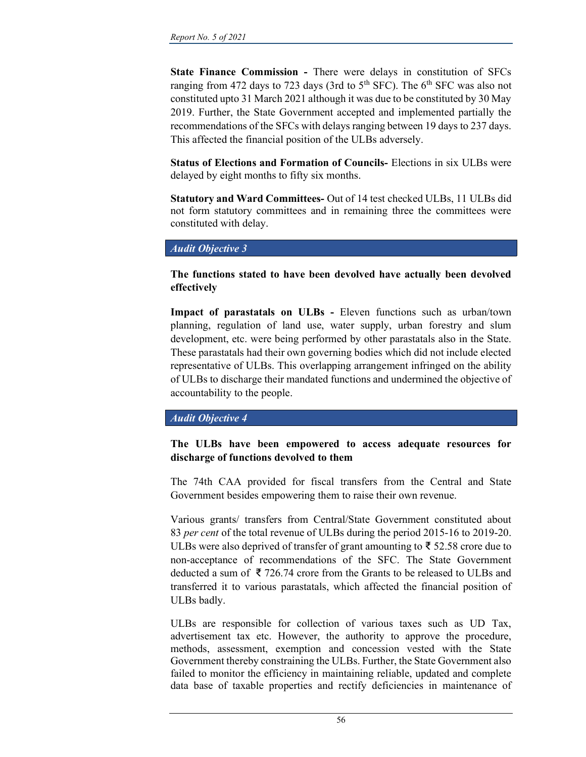State Finance Commission - There were delays in constitution of SFCs ranging from 472 days to 723 days (3rd to  $5<sup>th</sup>$  SFC). The  $6<sup>th</sup>$  SFC was also not constituted upto 31 March 2021 although it was due to be constituted by 30 May 2019. Further, the State Government accepted and implemented partially the recommendations of the SFCs with delays ranging between 19 days to 237 days. This affected the financial position of the ULBs adversely.

Status of Elections and Formation of Councils- Elections in six ULBs were delayed by eight months to fifty six months.

Statutory and Ward Committees- Out of 14 test checked ULBs, 11 ULBs did not form statutory committees and in remaining three the committees were constituted with delay.

### Audit Objective 3

## The functions stated to have been devolved have actually been devolved effectively

Impact of parastatals on ULBs - Eleven functions such as urban/town planning, regulation of land use, water supply, urban forestry and slum development, etc. were being performed by other parastatals also in the State. These parastatals had their own governing bodies which did not include elected representative of ULBs. This overlapping arrangement infringed on the ability of ULBs to discharge their mandated functions and undermined the objective of accountability to the people.

### Audit Objective 4

# The ULBs have been empowered to access adequate resources for discharge of functions devolved to them

The 74th CAA provided for fiscal transfers from the Central and State Government besides empowering them to raise their own revenue.

Various grants/ transfers from Central/State Government constituted about 83 per cent of the total revenue of ULBs during the period 2015-16 to 2019-20. ULBs were also deprived of transfer of grant amounting to ₹ 52.58 crore due to non-acceptance of recommendations of the SFC. The State Government deducted a sum of ₹ 726.74 crore from the Grants to be released to ULBs and transferred it to various parastatals, which affected the financial position of ULBs badly.

ULBs are responsible for collection of various taxes such as UD Tax, advertisement tax etc. However, the authority to approve the procedure, methods, assessment, exemption and concession vested with the State Government thereby constraining the ULBs. Further, the State Government also failed to monitor the efficiency in maintaining reliable, updated and complete data base of taxable properties and rectify deficiencies in maintenance of